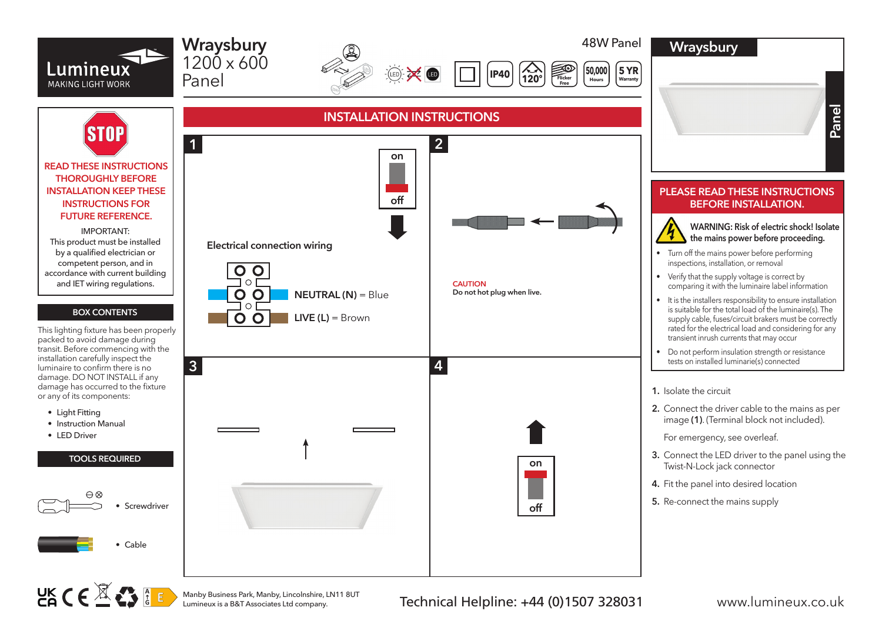